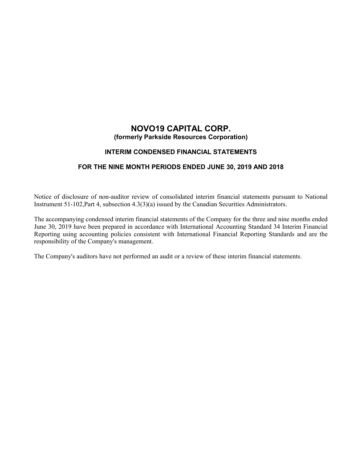# **NOVO19 CAPITAL CORP. (formerly Parkside Resources Corporation)**

## **INTERIM CONDENSED FINANCIAL STATEMENTS**

## **FOR THE NINE MONTH PERIODS ENDED JUNE 30, 2019 AND 2018**

Notice of disclosure of non-auditor review of consolidated interim financial statements pursuant to National Instrument 51-102,Part 4, subsection 4.3(3)(a) issued by the Canadian Securities Administrators.

The accompanying condensed interim financial statements of the Company for the three and nine months ended June 30, 2019 have been prepared in accordance with International Accounting Standard 34 Interim Financial Reporting using accounting policies consistent with International Financial Reporting Standards and are the responsibility of the Company's management.

The Company's auditors have not performed an audit or a review of these interim financial statements.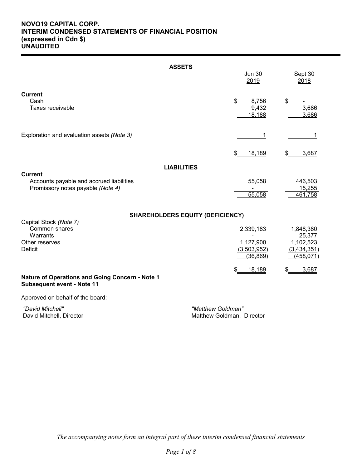## **NOVO19 CAPITAL CORP. INTERIM CONDENSED STATEMENTS OF FINANCIAL POSITION (expressed in Cdn \$) UNAUDITED**

|                                                                                         | <b>ASSETS</b><br><b>Jun 30</b>                     | Sept 30                                                       |
|-----------------------------------------------------------------------------------------|----------------------------------------------------|---------------------------------------------------------------|
|                                                                                         | 2019                                               | 2018                                                          |
| <b>Current</b><br>Cash<br>Taxes receivable                                              | \$<br>8,756<br>9,432<br>18,188                     | \$<br>3,686<br>3,686                                          |
| Exploration and evaluation assets (Note 3)                                              | 1                                                  | 1                                                             |
|                                                                                         | 18,189<br>\$                                       | 3,687<br>\$                                                   |
| <b>Current</b>                                                                          | <b>LIABILITIES</b>                                 |                                                               |
| Accounts payable and accrued liabilities<br>Promissory notes payable (Note 4)           | 55,058<br>55,058                                   | 446,503<br>15,255<br>461,758                                  |
|                                                                                         | <b>SHAREHOLDERS EQUITY (DEFICIENCY)</b>            |                                                               |
| Capital Stock (Note 7)<br>Common shares<br>Warrants<br>Other reserves<br><b>Deficit</b> | 2,339,183<br>1,127,900<br>(3,503,952)<br>(36, 869) | 1,848,380<br>25,377<br>1,102,523<br>(3,434,351)<br>(458, 071) |
| Nature of Operations and Going Concern - Note 1<br><b>Subsequent event - Note 11</b>    | 18,189<br>\$                                       | 3,687<br>\$                                                   |
| Approved on behalf of the board:                                                        |                                                    |                                                               |
| "David Mitchell"<br>David Mitchell, Director                                            | "Matthew Goldman"<br>Matthew Goldman, Director     |                                                               |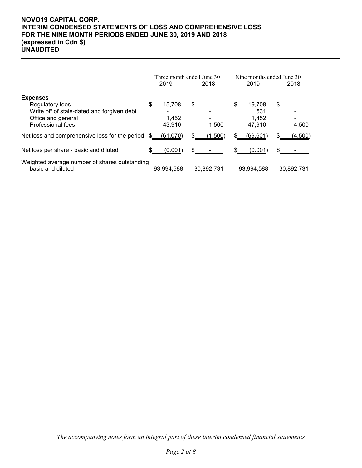## **NOVO19 CAPITAL CORP. INTERIM CONDENSED STATEMENTS OF LOSS AND COMPREHENSIVE LOSS FOR THE NINE MONTH PERIODS ENDED JUNE 30, 2019 AND 2018 (expressed in Cdn \$) UNAUDITED**

|                                                                      | Three month ended June 30 |    |            | Nine months ended June 30 |    |            |
|----------------------------------------------------------------------|---------------------------|----|------------|---------------------------|----|------------|
|                                                                      | 2019                      |    | 2018       | 2019                      |    | 2018       |
| <b>Expenses</b>                                                      |                           |    |            |                           |    |            |
| Regulatory fees                                                      | \$<br>15.708              | \$ |            | \$<br>19.708              | \$ |            |
| Write off of stale-dated and forgiven debt                           |                           |    |            | 531                       |    |            |
| Office and general                                                   | 1.452                     |    |            | 1.452                     |    |            |
| <b>Professional fees</b>                                             | 43,910                    |    | 1,500      | 47,910                    |    | 4,500      |
| Net loss and comprehensive loss for the period                       | (61,070)                  |    | (1,500)    | (69, 601)                 |    | (4,500)    |
| Net loss per share - basic and diluted                               | (0.001)                   | \$ |            | (0.001)                   |    |            |
| Weighted average number of shares outstanding<br>- basic and diluted | 93.994.588                |    | 30.892.731 | 93.994.588                |    | 30.892.731 |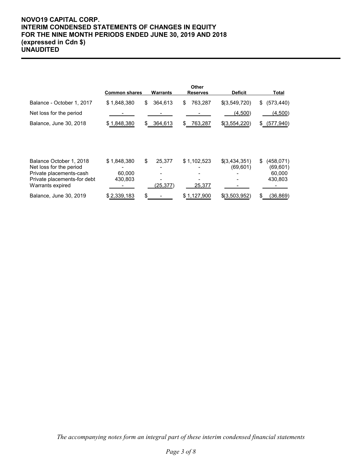## **NOVO19 CAPITAL CORP. INTERIM CONDENSED STATEMENTS OF CHANGES IN EQUITY FOR THE NINE MONTH PERIODS ENDED JUNE 30, 2019 AND 2018 (expressed in Cdn \$) UNAUDITED**

|                                                    | <b>Common shares</b> | Warrants      | Other<br><b>Reserves</b> | <b>Deficit</b> | Total              |
|----------------------------------------------------|----------------------|---------------|--------------------------|----------------|--------------------|
| Balance - October 1, 2017                          | \$1,848,380          | 364,613<br>\$ | 763,287<br>\$            | \$(3,549,720)  | (573, 440)<br>\$   |
| Net loss for the period                            |                      |               |                          | (4,500)        | (4,500)            |
| Balance, June 30, 2018                             | \$1,848,380          | 364,613<br>£. | 763,287<br>\$            | \$(3,554,220)  | (577, 940)<br>S.   |
| Balance October 1, 2018                            | \$1,848,380          | \$<br>25,377  | \$1,102,523              | \$(3,434,351)  | (458, 071)<br>\$   |
| Net loss for the period<br>Private placements-cash | 60,000               |               |                          | (69, 601)      | (69,601)<br>60,000 |
| Private placements-for debt<br>Warrants expired    | 430,803              | (25, 377)     | 25,377                   |                | 430,803            |
| Balance, June 30, 2019                             | \$2,339,183          |               | \$1,127,900              | \$(3,503,952)  | (36,869)<br>\$.    |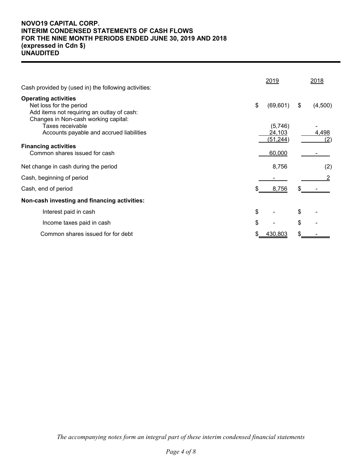## **NOVO19 CAPITAL CORP. INTERIM CONDENSED STATEMENTS OF CASH FLOWS FOR THE NINE MONTH PERIODS ENDED JUNE 30, 2019 AND 2018 (expressed in Cdn \$) UNAUDITED**

|                                                                                                                                              | 2019                           | 2018          |
|----------------------------------------------------------------------------------------------------------------------------------------------|--------------------------------|---------------|
| Cash provided by (used in) the following activities:                                                                                         |                                |               |
| <b>Operating activities</b><br>Net loss for the period<br>Add items not requiring an outlay of cash:<br>Changes in Non-cash working capital: | \$<br>(69, 601)                | (4,500)<br>\$ |
| Taxes receivable<br>Accounts payable and accrued liabilities                                                                                 | (5,746)<br>24,103<br>(51, 244) | 4,498<br>(2)  |
| <b>Financing activities</b><br>Common shares issued for cash                                                                                 | 60,000                         |               |
| Net change in cash during the period                                                                                                         | 8,756                          | (2)           |
| Cash, beginning of period                                                                                                                    |                                |               |
| Cash, end of period                                                                                                                          | 8,756                          |               |
| Non-cash investing and financing activities:                                                                                                 |                                |               |
| Interest paid in cash                                                                                                                        | \$                             | \$            |
| Income taxes paid in cash                                                                                                                    | \$                             | \$            |
| Common shares issued for for debt                                                                                                            | 430,803                        |               |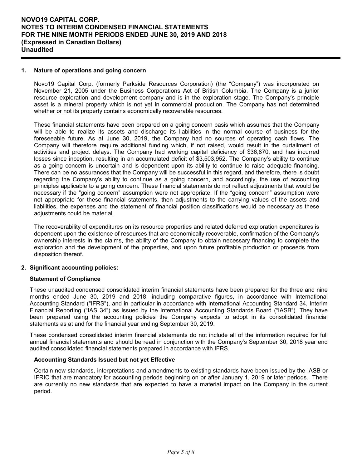#### **1. Nature of operations and going concern**

Novo19 Capital Corp. (formerly Parkside Resources Corporation) (the "Company") was incorporated on November 21, 2005 under the Business Corporations Act of British Columbia. The Company is a junior resource exploration and development company and is in the exploration stage. The Company's principle asset is a mineral property which is not yet in commercial production. The Company has not determined whether or not its property contains economically recoverable resources.

These financial statements have been prepared on a going concern basis which assumes that the Company will be able to realize its assets and discharge its liabilities in the normal course of business for the foreseeable future. As at June 30, 2019, the Company had no sources of operating cash flows. The Company will therefore require additional funding which, if not raised, would result in the curtailment of activities and project delays. The Company had working capital deficiency of \$36,870, and has incurred losses since inception, resulting in an accumulated deficit of \$3,503,952. The Company's ability to continue as a going concern is uncertain and is dependent upon its ability to continue to raise adequate financing. There can be no assurances that the Company will be successful in this regard, and therefore, there is doubt regarding the Company's ability to continue as a going concern, and accordingly, the use of accounting principles applicable to a going concern. These financial statements do not reflect adjustments that would be necessary if the "going concern" assumption were not appropriate. If the "going concern" assumption were not appropriate for these financial statements, then adjustments to the carrying values of the assets and liabilities, the expenses and the statement of financial position classifications would be necessary as these adjustments could be material.

The recoverability of expenditures on its resource properties and related deferred exploration expenditures is dependent upon the existence of resources that are economically recoverable, confirmation of the Company's ownership interests in the claims, the ability of the Company to obtain necessary financing to complete the exploration and the development of the properties, and upon future profitable production or proceeds from disposition thereof.

## **2. Significant accounting policies:**

#### **Statement of Compliance**

These unaudited condensed consolidated interim financial statements have been prepared for the three and nine months ended June 30, 2019 and 2018, including comparative figures, in accordance with International Accounting Standard ("IFRS"), and in particular in accordance with International Accounting Standard 34, Interim Financial Reporting ("IAS 34") as issued by the International Accounting Standards Board ("IASB"). They have been prepared using the accounting policies the Company expects to adopt in its consolidated financial statements as at and for the financial year ending September 30, 2019.

These condensed consolidated interim financial statements do not include all of the information required for full annual financial statements and should be read in conjunction with the Company's September 30, 2018 year end audited consolidated financial statements prepared in accordance with IFRS.

#### **Accounting Standards Issued but not yet Effective**

Certain new standards, interpretations and amendments to existing standards have been issued by the IASB or IFRIC that are mandatory for accounting periods beginning on or after January 1, 2019 or later periods. There are currently no new standards that are expected to have a material impact on the Company in the current period.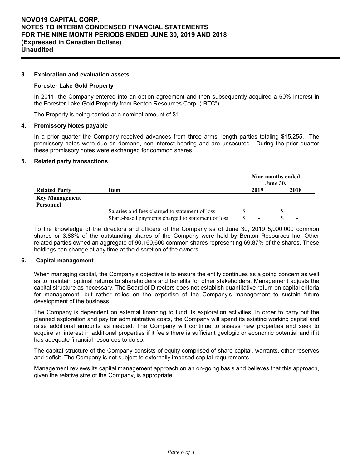#### **3. Exploration and evaluation assets**

#### **Forester Lake Gold Property**

In 2011, the Company entered into an option agreement and then subsequently acquired a 60% interest in the Forester Lake Gold Property from Benton Resources Corp. ("BTC").

The Property is being carried at a nominal amount of \$1.

#### **4. Promissory Notes payable**

In a prior quarter the Company received advances from three arms' length parties totaling \$15,255. The promissory notes were due on demand, non-interest bearing and are unsecured. During the prior quarter these promissory notes were exchanged for common shares.

#### **5. Related party transactions**

|                       |                                                   |  |                |  | Nine months ended<br>June 30, |  |  |  |  |  |
|-----------------------|---------------------------------------------------|--|----------------|--|-------------------------------|--|--|--|--|--|
| <b>Related Party</b>  | Item                                              |  | 2019           |  | 2018                          |  |  |  |  |  |
| <b>Key Management</b> |                                                   |  |                |  |                               |  |  |  |  |  |
| Personnel             |                                                   |  |                |  |                               |  |  |  |  |  |
|                       | Salaries and fees charged to statement of loss    |  | $\sim$         |  | $\blacksquare$                |  |  |  |  |  |
|                       | Share-based payments charged to statement of loss |  | $\blacksquare$ |  | $\overline{\phantom{a}}$      |  |  |  |  |  |

To the knowledge of the directors and officers of the Company as of June 30, 2019 5,000,000 common shares or 3.88% of the outstanding shares of the Company were held by Benton Resources Inc. Other related parties owned an aggregate of 90,160,600 common shares representing 69.87% of the shares. These holdings can change at any time at the discretion of the owners.

#### **6. Capital management**

When managing capital, the Company's objective is to ensure the entity continues as a going concern as well as to maintain optimal returns to shareholders and benefits for other stakeholders. Management adjusts the capital structure as necessary. The Board of Directors does not establish quantitative return on capital criteria for management, but rather relies on the expertise of the Company's management to sustain future development of the business.

The Company is dependent on external financing to fund its exploration activities. In order to carry out the planned exploration and pay for administrative costs, the Company will spend its existing working capital and raise additional amounts as needed. The Company will continue to assess new properties and seek to acquire an interest in additional properties if it feels there is sufficient geologic or economic potential and if it has adequate financial resources to do so.

The capital structure of the Company consists of equity comprised of share capital, warrants, other reserves and deficit. The Company is not subject to externally imposed capital requirements.

Management reviews its capital management approach on an on-going basis and believes that this approach, given the relative size of the Company, is appropriate.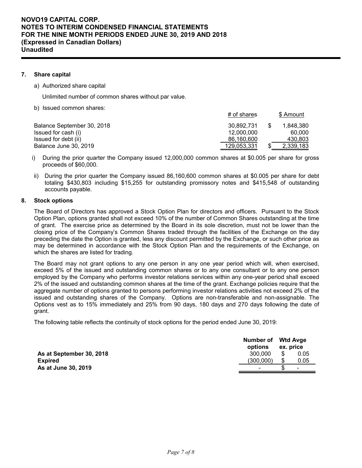### **7. Share capital**

a) Authorized share capital

Unlimited number of common shares without par value.

b) Issued common shares:

|                            | $#$ of shares | \$ Amount |
|----------------------------|---------------|-----------|
| Balance September 30, 2018 | 30.892.731    | 1.848.380 |
| Issued for cash (i)        | 12.000.000    | 60.000    |
| Issued for debt (ii)       | 86,160,600    | 430,803   |
| Balance June 30, 2019      | 129,053,331   | 2,339,183 |

- i) During the prior quarter the Company issued 12,000,000 common shares at \$0.005 per share for gross proceeds of \$60,000.
- ii) During the prior quarter the Company issued 86,160,600 common shares at \$0.005 per share for debt totaling \$430,803 including \$15,255 for outstanding promissory notes and \$415,548 of outstanding accounts payable.

#### **8. Stock options**

The Board of Directors has approved a Stock Option Plan for directors and officers. Pursuant to the Stock Option Plan, options granted shall not exceed 10% of the number of Common Shares outstanding at the time of grant. The exercise price as determined by the Board in its sole discretion, must not be lower than the closing price of the Company's Common Shares traded through the facilities of the Exchange on the day preceding the date the Option is granted, less any discount permitted by the Exchange, or such other price as may be determined in accordance with the Stock Option Plan and the requirements of the Exchange, on which the shares are listed for trading.

The Board may not grant options to any one person in any one year period which will, when exercised, exceed 5% of the issued and outstanding common shares or to any one consultant or to any one person employed by the Company who performs investor relations services within any one-year period shall exceed 2% of the issued and outstanding common shares at the time of the grant. Exchange policies require that the aggregate number of options granted to persons performing investor relations activities not exceed 2% of the issued and outstanding shares of the Company. Options are non-transferable and non-assignable. The Options vest as to 15% immediately and 25% from 90 days, 180 days and 270 days following the date of grant.

The following table reflects the continuity of stock options for the period ended June 30, 2019:

|                          | Number of Wtd Avge<br>options | ex. price  |  |
|--------------------------|-------------------------------|------------|--|
| As at September 30, 2018 | 300.000                       | 0.05       |  |
| <b>Expired</b>           | (300.000)                     | \$<br>0.05 |  |
| As at June 30, 2019      | $\blacksquare$                | $\sim$     |  |